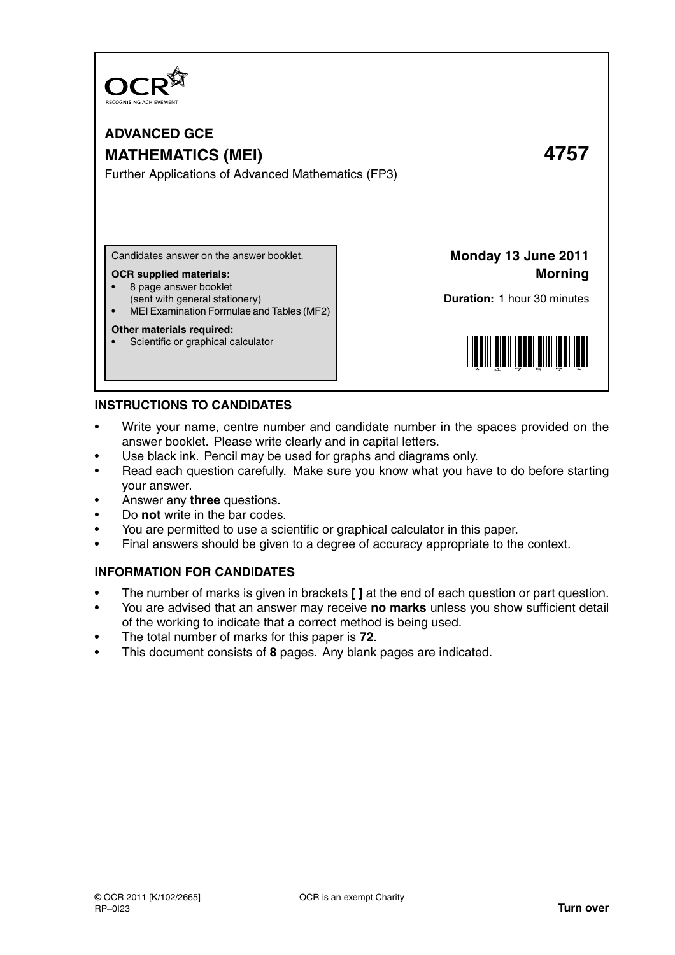

**ADVANCED GCE MATHEMATICS (MEI) 4757**

Further Applications of Advanced Mathematics (FP3)

Candidates answer on the answer booklet.

#### **OCR supplied materials:**

- 8 page answer booklet
- (sent with general stationery)
- MEI Examination Formulae and Tables (MF2)

### **Other materials required:**

Scientific or graphical calculator

**Monday 13 June 2011 Morning**

**Duration:** 1 hour 30 minutes



# **INSTRUCTIONS TO CANDIDATES**

- Write your name, centre number and candidate number in the spaces provided on the answer booklet. Please write clearly and in capital letters.
- Use black ink. Pencil may be used for graphs and diagrams only.
- Read each question carefully. Make sure you know what you have to do before starting your answer.
- Answer any **three** questions.
- Do **not** write in the bar codes.
- You are permitted to use a scientific or graphical calculator in this paper.
- Final answers should be given to a degree of accuracy appropriate to the context.

# **INFORMATION FOR CANDIDATES**

- The number of marks is given in brackets **[ ]** at the end of each question or part question.
- You are advised that an answer may receive **no marks** unless you show sufficient detail of the working to indicate that a correct method is being used.
- The total number of marks for this paper is **72**.
- This document consists of **8** pages. Any blank pages are indicated.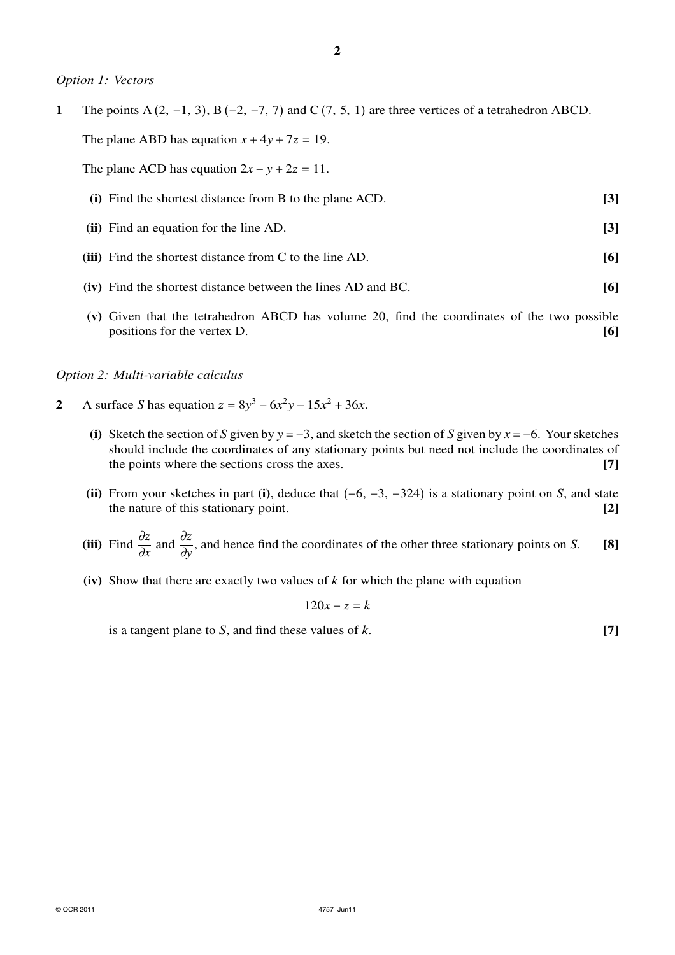**2**

#### *Option 1: Vectors*

**1** The points A (2, −1, 3), B(−2, −7, 7) and C(7, 5, 1) are three vertices of a tetrahedron ABCD.

The plane ABD has equation  $x + 4y + 7z = 19$ .

The plane ACD has equation  $2x - y + 2z = 11$ .

| (i) Find the shortest distance from B to the plane ACD. |  |
|---------------------------------------------------------|--|
| (ii) Find an equation for the line AD.                  |  |

- **(iii)** Find the shortest distance from C to the line AD. **[6]**
- **(iv)** Find the shortest distance between the lines AD and BC. **[6]**
- **(v)** Given that the tetrahedron ABCD has volume 20, find the coordinates of the two possible positions for the vertex D. **[6]**

*Option 2: Multi-variable calculus*

- **2** A surface *S* has equation  $z = 8y^3 6x^2y 15x^2 + 36x$ .
	- **(i)** Sketch the section of *S* given by *y* = −3, and sketch the section of *S* given by *x* = −6. Your sketches should include the coordinates of any stationary points but need not include the coordinates of the points where the sections cross the axes. **[7]**
	- **(ii)** From your sketches in part **(i)**, deduce that (−6, −3, −324) is a stationary point on *S*, and state the nature of this stationary point. **[2]**
	- (iii) Find  $\frac{\partial z}{\partial x}$  and  $\frac{\partial z}{\partial y}$ , and hence find the coordinates of the other three stationary points on *S*. **[8]**
	- **(iv)** Show that there are exactly two values of *k* for which the plane with equation

 $120x - z = k$ 

is a tangent plane to *S*, and find these values of *k*. **[7]**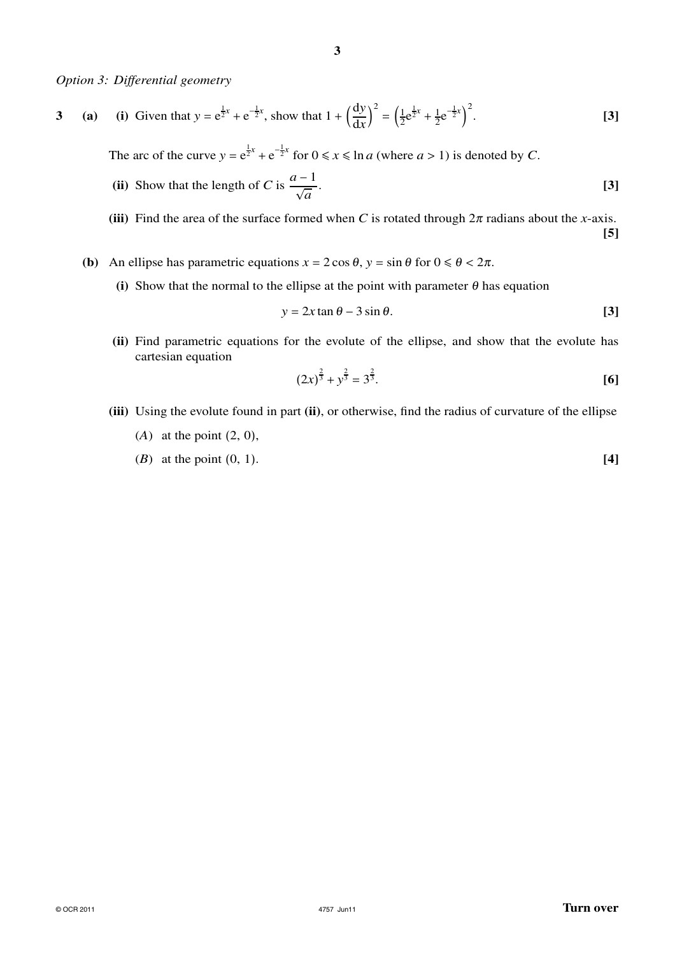*Option 3: Differential geometry*

**3** (a) (i) Given that 
$$
y = e^{\frac{1}{2}x} + e^{-\frac{1}{2}x}
$$
, show that  $1 + \left(\frac{dy}{dx}\right)^2 = \left(\frac{1}{2}e^{\frac{1}{2}x} + \frac{1}{2}e^{-\frac{1}{2}x}\right)^2$ . [3]

The arc of the curve  $y = e^{\frac{1}{2}x} + e^{-\frac{1}{2}x}$  for  $0 \le x \le \ln a$  (where  $a > 1$ ) is denoted by *C*.

(ii) Show that the length of C is 
$$
\frac{a-1}{\sqrt{a}}
$$
.

(iii) Find the area of the surface formed when *C* is rotated through  $2\pi$  radians about the *x*-axis.

**[5]**

- **(b)** An ellipse has parametric equations  $x = 2 \cos \theta$ ,  $y = \sin \theta$  for  $0 \le \theta < 2\pi$ .
	- **(i)** Show that the normal to the ellipse at the point with parameter  $\theta$  has equation

$$
y = 2x \tan \theta - 3 \sin \theta.
$$
 [3]

**(ii)** Find parametric equations for the evolute of the ellipse, and show that the evolute has cartesian equation

$$
(2x)^{\frac{2}{3}} + y^{\frac{2}{3}} = 3^{\frac{2}{3}}.
$$
 [6]

- **(iii)** Using the evolute found in part **(ii)**, or otherwise, find the radius of curvature of the ellipse
	- (*A*) at the point (2, 0),
	- (*B*) at the point (0, 1). **[4]**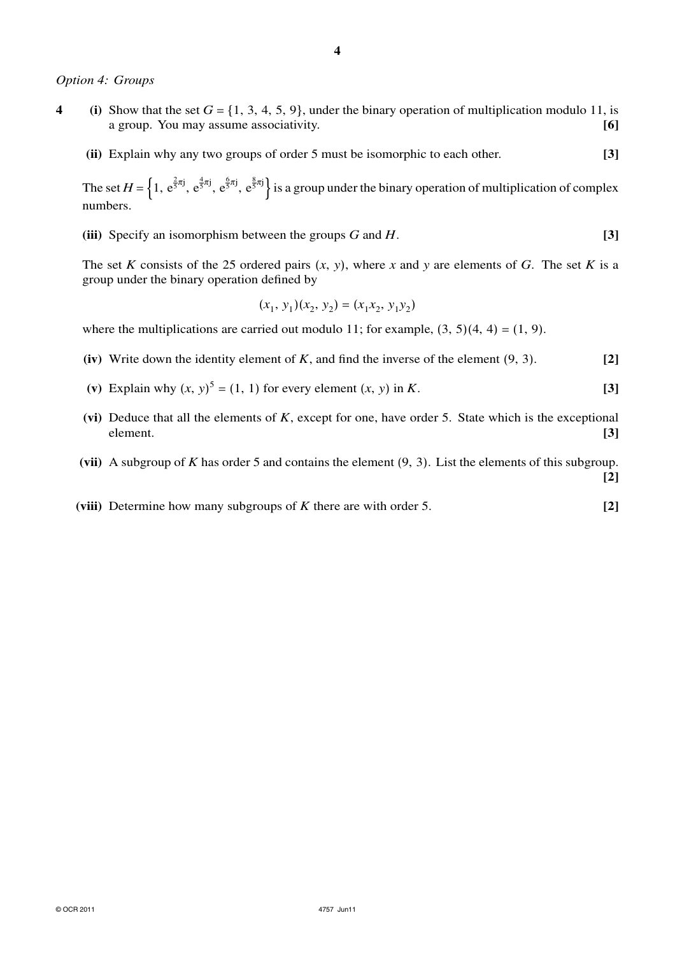### *Option 4: Groups*

- **4** (i) Show that the set  $G = \{1, 3, 4, 5, 9\}$ , under the binary operation of multiplication modulo 11, is a group. You may assume associativity. **[6]**
	- **(ii)** Explain why any two groups of order 5 must be isomorphic to each other. **[3]**

The set  $H = \left\{1, e^{\frac{2}{5}\pi j}, e^{\frac{4}{5}\pi j}, e^{\frac{8}{5}\pi j}\right\}$  is a group under the binary operation of multiplication of complex numbers.

**(iii)** Specify an isomorphism between the groups *G* and *H*. **[3]**

The set *K* consists of the 25 ordered pairs  $(x, y)$ , where *x* and *y* are elements of *G*. The set *K* is a group under the binary operation defined by

$$
(x_1, y_1)(x_2, y_2) = (x_1x_2, y_1y_2)
$$

where the multiplications are carried out modulo 11; for example,  $(3, 5)(4, 4) = (1, 9)$ .

- **(iv)** Write down the identity element of *K*, and find the inverse of the element (9, 3). **[2]**
- (v) Explain why  $(x, y)^5 = (1, 1)$  for every element  $(x, y)$  in *K*. [3]
- **(vi)** Deduce that all the elements of *K*, except for one, have order 5. State which is the exceptional element. **[3]**
- **(vii)** A subgroup of *K* has order 5 and contains the element (9, 3). List the elements of this subgroup.

**[2]**

**(viii)** Determine how many subgroups of *K* there are with order 5. **[2]**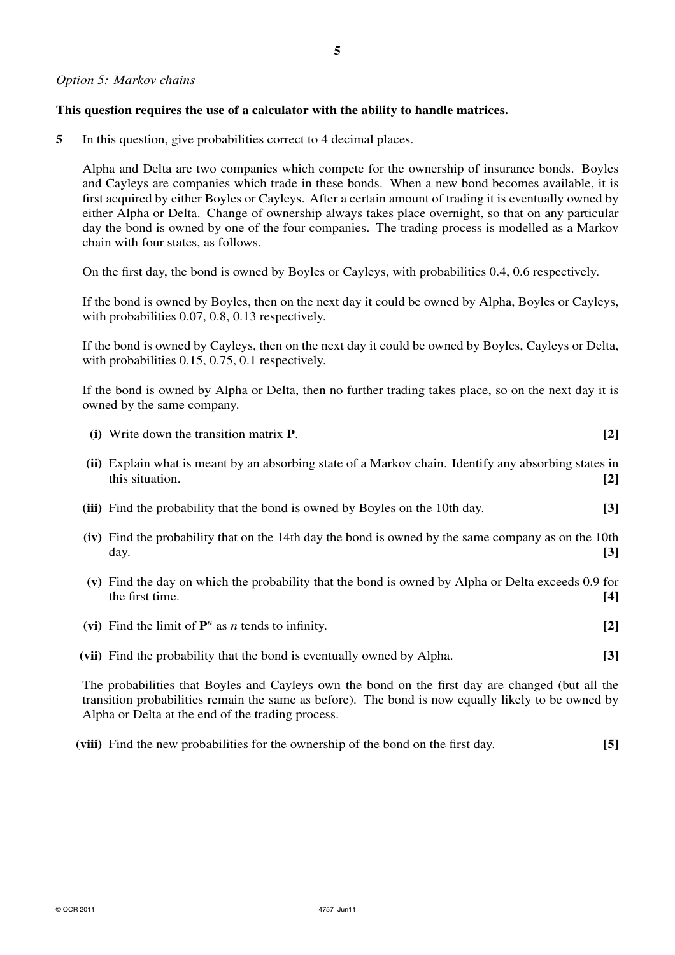#### *Option 5: Markov chains*

#### **This question requires the use of a calculator with the ability to handle matrices.**

**5** In this question, give probabilities correct to 4 decimal places.

Alpha and Delta are two companies which compete for the ownership of insurance bonds. Boyles and Cayleys are companies which trade in these bonds. When a new bond becomes available, it is first acquired by either Boyles or Cayleys. After a certain amount of trading it is eventually owned by either Alpha or Delta. Change of ownership always takes place overnight, so that on any particular day the bond is owned by one of the four companies. The trading process is modelled as a Markov chain with four states, as follows.

On the first day, the bond is owned by Boyles or Cayleys, with probabilities 0.4, 0.6 respectively.

If the bond is owned by Boyles, then on the next day it could be owned by Alpha, Boyles or Cayleys, with probabilities 0.07, 0.8, 0.13 respectively.

If the bond is owned by Cayleys, then on the next day it could be owned by Boyles, Cayleys or Delta, with probabilities 0.15, 0.75, 0.1 respectively.

If the bond is owned by Alpha or Delta, then no further trading takes place, so on the next day it is owned by the same company.

| $(i)$ Write down the transition matrix <b>P</b> .                                                                       | $[2]$ |
|-------------------------------------------------------------------------------------------------------------------------|-------|
| (ii) Explain what is meant by an absorbing state of a Markov chain. Identify any absorbing states in<br>this situation. | $[2]$ |
| (iii) Find the probability that the bond is owned by Boyles on the 10th day.                                            | $[3]$ |
| (iv) Find the probability that on the 14th day the bond is owned by the same company as on the 10th<br>day.             | [3]   |
| (v) Find the day on which the probability that the bond is owned by Alpha or Delta exceeds 0.9 for<br>the first time.   | $[4]$ |
| (vi) Find the limit of $\mathbf{P}^n$ as <i>n</i> tends to infinity.                                                    | $[2]$ |
| (vii) Find the probability that the bond is eventually owned by Alpha.                                                  | $[3]$ |
|                                                                                                                         |       |

The probabilities that Boyles and Cayleys own the bond on the first day are changed (but all the transition probabilities remain the same as before). The bond is now equally likely to be owned by Alpha or Delta at the end of the trading process.

**(viii)** Find the new probabilities for the ownership of the bond on the first day. **[5]**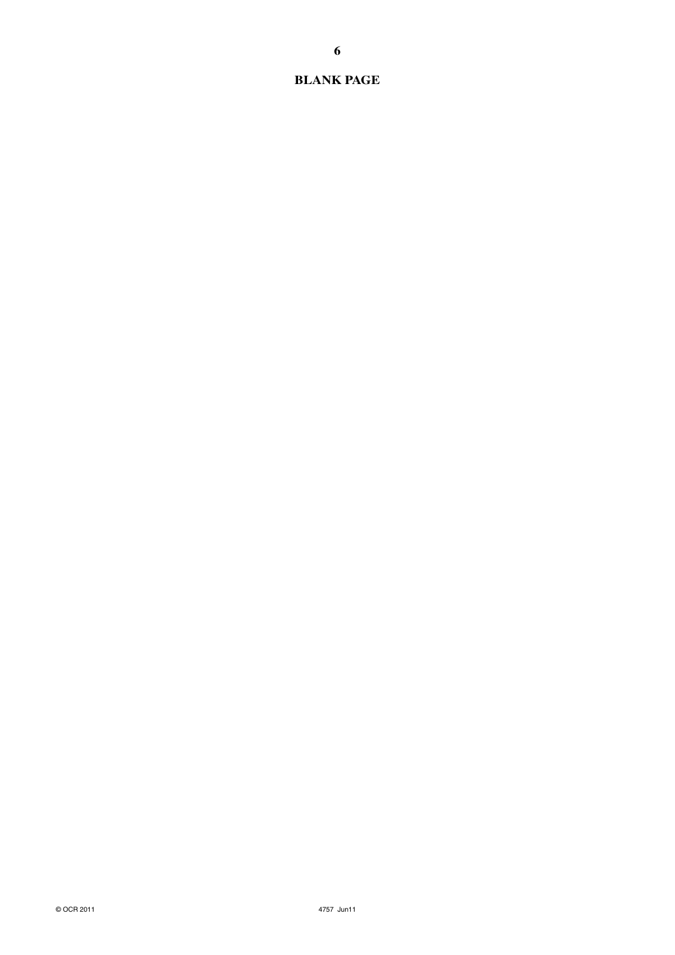# **BLANK PAGE**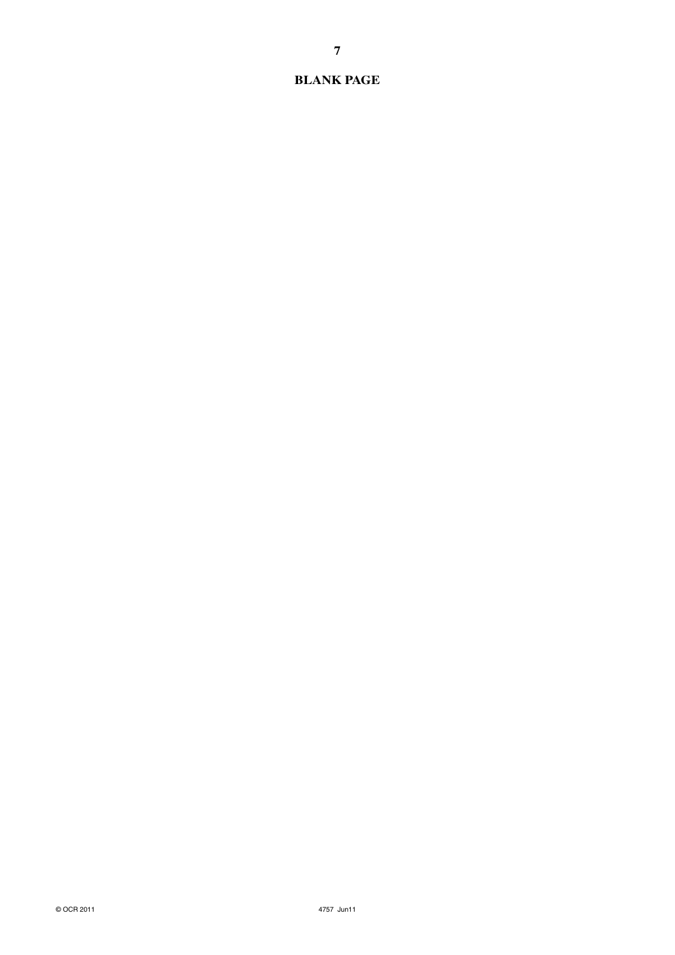# **BLANK PAGE**